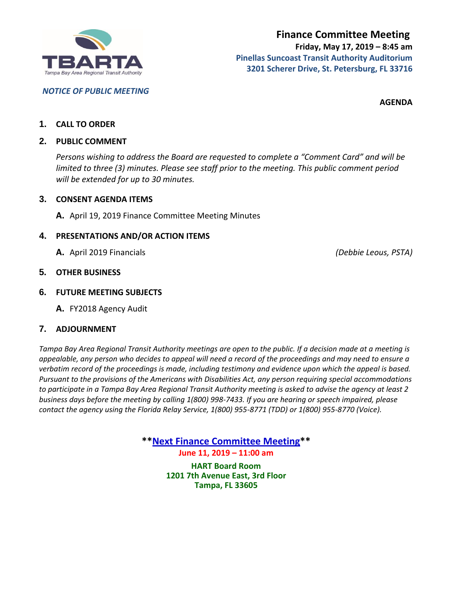

*NOTICE OF PUBLIC MEETING*

**AGENDA**

## **1. CALL TO ORDER**

## **2. PUBLIC COMMENT**

*Persons wishing to address the Board are requested to complete a "Comment Card" and will be limited to three (3) minutes. Please see staff prior to the meeting. This public comment period will be extended for up to 30 minutes.*

## **3. CONSENT AGENDA ITEMS**

**A.** April 19, 2019 Finance Committee Meeting Minutes

## **4. PRESENTATIONS AND/OR ACTION ITEMS**

**A.** April 2019 Financials *(Debbie Leous, PSTA)*

## **5. OTHER BUSINESS**

## **6. FUTURE MEETING SUBJECTS**

**A.** FY2018 Agency Audit

## **7. ADJOURNMENT**

*Tampa Bay Area Regional Transit Authority meetings are open to the public. If a decision made at a meeting is appealable, any person who decides to appeal will need a record of the proceedings and may need to ensure a verbatim record of the proceedings is made, including testimony and evidence upon which the appeal is based. Pursuant to the provisions of the Americans with Disabilities Act, any person requiring special accommodations to participate in a Tampa Bay Area Regional Transit Authority meeting is asked to advise the agency at least 2 business days before the meeting by calling 1(800) 998-7433. If you are hearing or speech impaired, please contact the agency using the Florida Relay Service, 1(800) 955-8771 (TDD) or 1(800) 955-8770 (Voice).*

> **\*\*Next Finance Committee Meeting\*\* June 11, 2019 – 11:00 am**

> > **HART Board Room 1201 7th Avenue East, 3rd Floor Tampa, FL 33605**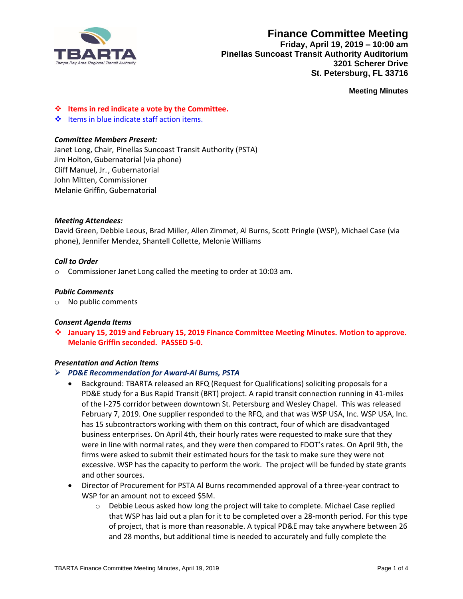

## **Finance Committee Meeting Friday, April 19, 2019 – 10:00 am Pinellas Suncoast Transit Authority Auditorium 3201 Scherer Drive St. Petersburg, FL 33716**

**Meeting Minutes**

❖ **Items in red indicate a vote by the Committee.**

❖ Items in blue indicate staff action items.

#### *Committee Members Present:*

Janet Long, Chair, Pinellas Suncoast Transit Authority (PSTA) Jim Holton, Gubernatorial (via phone) Cliff Manuel, Jr., Gubernatorial John Mitten, Commissioner Melanie Griffin, Gubernatorial

#### *Meeting Attendees:*

David Green, Debbie Leous, Brad Miller, Allen Zimmet, Al Burns, Scott Pringle (WSP), Michael Case (via phone), Jennifer Mendez, Shantell Collette, Melonie Williams

#### *Call to Order*

o Commissioner Janet Long called the meeting to order at 10:03 am.

#### *Public Comments*

o No public comments

#### *Consent Agenda Items*

❖ **January 15, 2019 and February 15, 2019 Finance Committee Meeting Minutes. Motion to approve. Melanie Griffin seconded. PASSED 5-0.**

#### *Presentation and Action Items*

#### ➢ *PD&E Recommendation for Award-Al Burns, PSTA*

- Background: TBARTA released an RFQ (Request for Qualifications) soliciting proposals for a PD&E study for a Bus Rapid Transit (BRT) project. A rapid transit connection running in 41-miles of the I-275 corridor between downtown St. Petersburg and Wesley Chapel. This was released February 7, 2019. One supplier responded to the RFQ, and that was WSP USA, Inc. WSP USA, Inc. has 15 subcontractors working with them on this contract, four of which are disadvantaged business enterprises. On April 4th, their hourly rates were requested to make sure that they were in line with normal rates, and they were then compared to FDOT's rates. On April 9th, the firms were asked to submit their estimated hours for the task to make sure they were not excessive. WSP has the capacity to perform the work. The project will be funded by state grants and other sources.
- Director of Procurement for PSTA Al Burns recommended approval of a three-year contract to WSP for an amount not to exceed \$5M.
	- o Debbie Leous asked how long the project will take to complete. Michael Case replied that WSP has laid out a plan for it to be completed over a 28-month period. For this type of project, that is more than reasonable. A typical PD&E may take anywhere between 26 and 28 months, but additional time is needed to accurately and fully complete the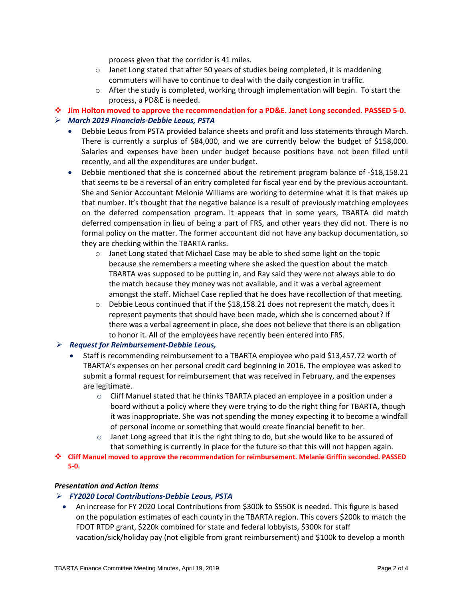process given that the corridor is 41 miles.

- $\circ$  Janet Long stated that after 50 years of studies being completed, it is maddening commuters will have to continue to deal with the daily congestion in traffic.
- $\circ$  After the study is completed, working through implementation will begin. To start the process, a PD&E is needed.
- ❖ **Jim Holton moved to approve the recommendation for a PD&E. Janet Long seconded. PASSED 5-0.**

#### ➢ *March 2019 Financials-Debbie Leous, PSTA*

- Debbie Leous from PSTA provided balance sheets and profit and loss statements through March. There is currently a surplus of \$84,000, and we are currently below the budget of \$158,000. Salaries and expenses have been under budget because positions have not been filled until recently, and all the expenditures are under budget.
- Debbie mentioned that she is concerned about the retirement program balance of -\$18,158.21 that seems to be a reversal of an entry completed for fiscal year end by the previous accountant. She and Senior Accountant Melonie Williams are working to determine what it is that makes up that number. It's thought that the negative balance is a result of previously matching employees on the deferred compensation program. It appears that in some years, TBARTA did match deferred compensation in lieu of being a part of FRS, and other years they did not. There is no formal policy on the matter. The former accountant did not have any backup documentation, so they are checking within the TBARTA ranks.
	- $\circ$  Janet Long stated that Michael Case may be able to shed some light on the topic because she remembers a meeting where she asked the question about the match TBARTA was supposed to be putting in, and Ray said they were not always able to do the match because they money was not available, and it was a verbal agreement amongst the staff. Michael Case replied that he does have recollection of that meeting.
	- $\circ$  Debbie Leous continued that if the \$18,158.21 does not represent the match, does it represent payments that should have been made, which she is concerned about? If there was a verbal agreement in place, she does not believe that there is an obligation to honor it. All of the employees have recently been entered into FRS.

### ➢ *Request for Reimbursement-Debbie Leous,*

- Staff is recommending reimbursement to a TBARTA employee who paid \$13,457.72 worth of TBARTA's expenses on her personal credit card beginning in 2016. The employee was asked to submit a formal request for reimbursement that was received in February, and the expenses are legitimate.
	- $\circ$  Cliff Manuel stated that he thinks TBARTA placed an employee in a position under a board without a policy where they were trying to do the right thing for TBARTA, though it was inappropriate. She was not spending the money expecting it to become a windfall of personal income or something that would create financial benefit to her.
	- $\circ$  Janet Long agreed that it is the right thing to do, but she would like to be assured of that something is currently in place for the future so that this will not happen again.
- ❖ **Cliff Manuel moved to approve the recommendation for reimbursement. Melanie Griffin seconded. PASSED 5-0.**

## *Presentation and Action Items*

### ➢ *FY2020 Local Contributions-Debbie Leous, PSTA*

• An increase for FY 2020 Local Contributions from \$300k to \$550K is needed. This figure is based on the population estimates of each county in the TBARTA region. This covers \$200k to match the FDOT RTDP grant, \$220k combined for state and federal lobbyists, \$300k for staff vacation/sick/holiday pay (not eligible from grant reimbursement) and \$100k to develop a month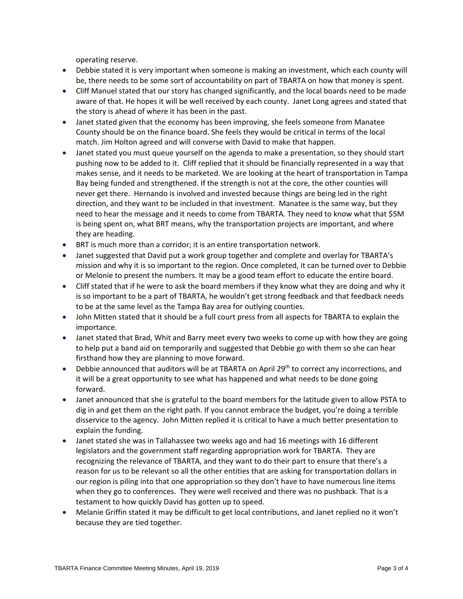operating reserve.

- Debbie stated it is very important when someone is making an investment, which each county will be, there needs to be some sort of accountability on part of TBARTA on how that money is spent.
- Cliff Manuel stated that our story has changed significantly, and the local boards need to be made aware of that. He hopes it will be well received by each county. Janet Long agrees and stated that the story is ahead of where it has been in the past.
- Janet stated given that the economy has been improving, she feels someone from Manatee County should be on the finance board. She feels they would be critical in terms of the local match. Jim Holton agreed and will converse with David to make that happen.
- Janet stated you must queue yourself on the agenda to make a presentation, so they should start pushing now to be added to it. Cliff replied that it should be financially represented in a way that makes sense, and it needs to be marketed. We are looking at the heart of transportation in Tampa Bay being funded and strengthened. If the strength is not at the core, the other counties will never get there. Hernando is involved and invested because things are being led in the right direction, and they want to be included in that investment. Manatee is the same way, but they need to hear the message and it needs to come from TBARTA. They need to know what that \$5M is being spent on, what BRT means, why the transportation projects are important, and where they are heading.
- BRT is much more than a corridor; it is an entire transportation network.
- Janet suggested that David put a work group together and complete and overlay for TBARTA's mission and why it is so important to the region. Once completed, it can be turned over to Debbie or Melonie to present the numbers. It may be a good team effort to educate the entire board.
- Cliff stated that if he were to ask the board members if they know what they are doing and why it is so important to be a part of TBARTA, he wouldn't get strong feedback and that feedback needs to be at the same level as the Tampa Bay area for outlying counties.
- John Mitten stated that it should be a full court press from all aspects for TBARTA to explain the importance.
- Janet stated that Brad, Whit and Barry meet every two weeks to come up with how they are going to help put a band aid on temporarily and suggested that Debbie go with them so she can hear firsthand how they are planning to move forward.
- Debbie announced that auditors will be at TBARTA on April 29<sup>th</sup> to correct any incorrections, and it will be a great opportunity to see what has happened and what needs to be done going forward.
- Janet announced that she is grateful to the board members for the latitude given to allow PSTA to dig in and get them on the right path. If you cannot embrace the budget, you're doing a terrible disservice to the agency. John Mitten replied it is critical to have a much better presentation to explain the funding.
- Janet stated she was in Tallahassee two weeks ago and had 16 meetings with 16 different legislators and the government staff regarding appropriation work for TBARTA. They are recognizing the relevance of TBARTA, and they want to do their part to ensure that there's a reason for us to be relevant so all the other entities that are asking for transportation dollars in our region is piling into that one appropriation so they don't have to have numerous line items when they go to conferences. They were well received and there was no pushback. That is a testament to how quickly David has gotten up to speed.
- Melanie Griffin stated it may be difficult to get local contributions, and Janet replied no it won't because they are tied together.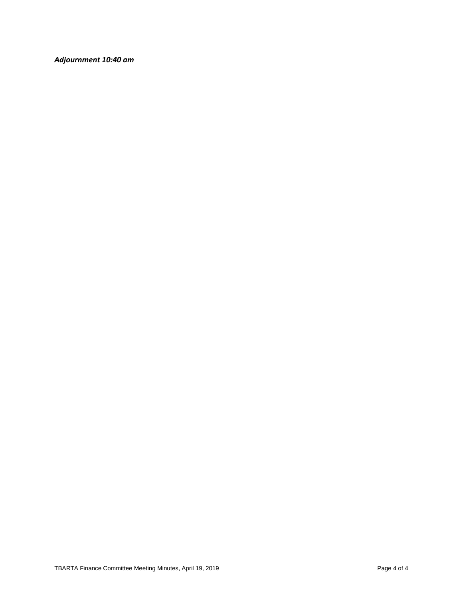*Adjournment 10:40 am*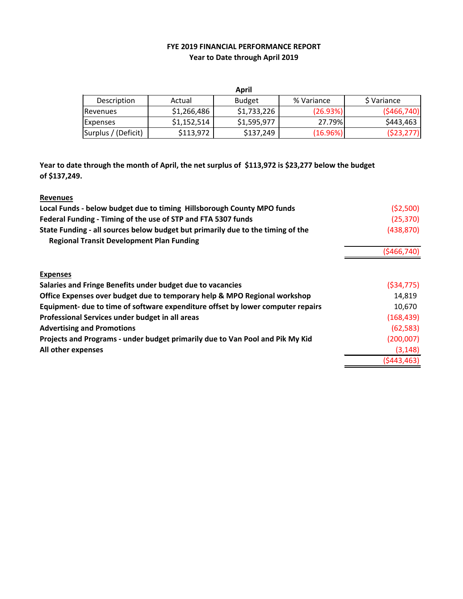## **FYE 2019 FINANCIAL PERFORMANCE REPORT Year to Date through April 2019**

| April               |             |               |            |               |  |  |
|---------------------|-------------|---------------|------------|---------------|--|--|
| Description         | Actual      | <b>Budget</b> | % Variance | S Variance    |  |  |
| Revenues            | \$1,266,486 | \$1,733,226   | (26.93%)   | ( \$466, 740] |  |  |
| <b>Expenses</b>     | \$1,152,514 | \$1,595,977   | 27.79%     | \$443,463     |  |  |
| Surplus / (Deficit) | \$113,972   | \$137,249     | (16.96%)   | (523, 277)    |  |  |

**Year to date through the month of April, the net surplus of \$113,972 is \$23,277 below the budget of \$137,249.**

| <b>Revenues</b>                                                                 |              |
|---------------------------------------------------------------------------------|--------------|
| Local Funds - below budget due to timing Hillsborough County MPO funds          | (52,500)     |
| Federal Funding - Timing of the use of STP and FTA 5307 funds                   | (25, 370)    |
| State Funding - all sources below budget but primarily due to the timing of the | (438, 870)   |
| <b>Regional Transit Development Plan Funding</b>                                |              |
|                                                                                 | (5466, 740)  |
| <b>Expenses</b>                                                                 |              |
| Salaries and Fringe Benefits under budget due to vacancies                      | ( \$34, 775) |
| Office Expenses over budget due to temporary help & MPO Regional workshop       | 14.819       |
| Equipment- due to time of software expenditure offset by lower computer repairs | 10,670       |
| Professional Services under budget in all areas                                 | (168, 439)   |
| <b>Advertising and Promotions</b>                                               | (62, 583)    |
| Projects and Programs - under budget primarily due to Van Pool and Pik My Kid   | (200,007)    |
| All other expenses                                                              | (3, 148)     |
|                                                                                 | (5443, 463)  |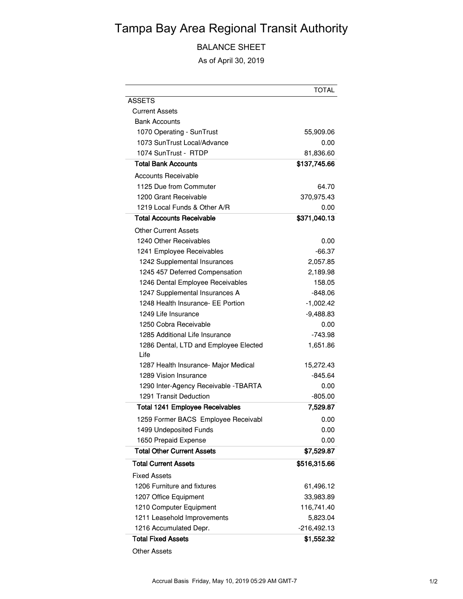# Tampa Bay Area Regional Transit Authority

BALANCE SHEET

As of April 30, 2019

|                                               | TOTAL         |
|-----------------------------------------------|---------------|
| <b>ASSETS</b>                                 |               |
| <b>Current Assets</b>                         |               |
| <b>Bank Accounts</b>                          |               |
| 1070 Operating - SunTrust                     | 55,909.06     |
| 1073 SunTrust Local/Advance                   | 0.00          |
| 1074 SunTrust - RTDP                          | 81,836.60     |
| Total Bank Accounts                           | \$137,745.66  |
| Accounts Receivable                           |               |
| 1125 Due from Commuter                        | 64.70         |
| 1200 Grant Receivable                         | 370,975.43    |
| 1219 Local Funds & Other A/R                  | 0.00          |
| <b>Total Accounts Receivable</b>              | \$371,040.13  |
| Other Current Assets                          |               |
| 1240 Other Receivables                        | 0.00          |
| 1241 Employee Receivables                     | -66.37        |
| 1242 Supplemental Insurances                  | 2,057.85      |
| 1245 457 Deferred Compensation                | 2,189.98      |
| 1246 Dental Employee Receivables              | 158.05        |
| 1247 Supplemental Insurances A                | $-848.06$     |
| 1248 Health Insurance- EE Portion             | $-1,002.42$   |
| 1249 Life Insurance                           | $-9,488.83$   |
| 1250 Cobra Receivable                         | 0.00          |
| 1285 Additional Life Insurance                | -743.98       |
| 1286 Dental, LTD and Employee Elected<br>Life | 1,651.86      |
| 1287 Health Insurance- Major Medical          | 15,272.43     |
| 1289 Vision Insurance                         | -845.64       |
| 1290 Inter-Agency Receivable - TBARTA         | 0.00          |
| 1291 Transit Deduction                        | $-805.00$     |
| <b>Total 1241 Employee Receivables</b>        | 7,529.87      |
| 1259 Former BACS Employee Receivabl           | 0.00          |
| 1499 Undeposited Funds                        | 0.00          |
| 1650 Prepaid Expense                          | 0.00          |
| <b>Total Other Current Assets</b>             | \$7,529.87    |
| <b>Total Current Assets</b>                   | \$516,315.66  |
| Fixed Assets                                  |               |
| 1206 Furniture and fixtures                   | 61,496.12     |
| 1207 Office Equipment                         | 33,983.89     |
| 1210 Computer Equipment                       | 116,741.40    |
| 1211 Leasehold Improvements                   | 5,823.04      |
| 1216 Accumulated Depr.                        | $-216,492.13$ |
| <b>Total Fixed Assets</b>                     | \$1,552.32    |

Other Assets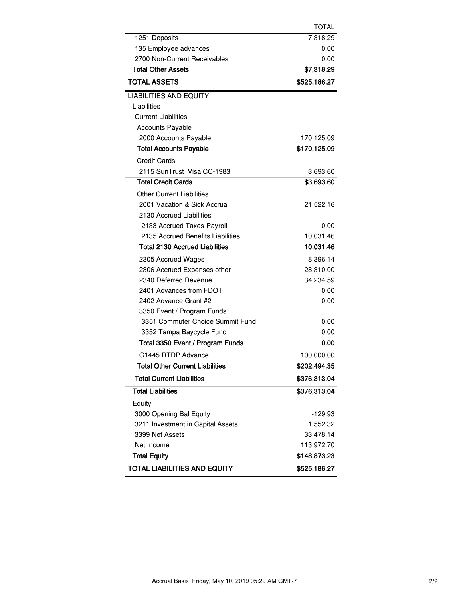|                                        | TOTAL        |
|----------------------------------------|--------------|
| 1251 Deposits                          | 7,318.29     |
| 135 Employee advances                  | 0.00         |
| 2700 Non-Current Receivables           | 0.00         |
| <b>Total Other Assets</b>              | \$7,318.29   |
| <b>TOTAL ASSETS</b>                    | \$525,186.27 |
| <b>LIABILITIES AND EQUITY</b>          |              |
| Liabilities                            |              |
| <b>Current Liabilities</b>             |              |
| <b>Accounts Payable</b>                |              |
| 2000 Accounts Payable                  | 170,125.09   |
| <b>Total Accounts Payable</b>          | \$170,125.09 |
| <b>Credit Cards</b>                    |              |
| 2115 SunTrust Visa CC-1983             | 3,693.60     |
| <b>Total Credit Cards</b>              | \$3,693.60   |
| <b>Other Current Liabilities</b>       |              |
| 2001 Vacation & Sick Accrual           | 21,522.16    |
| 2130 Accrued Liabilities               |              |
| 2133 Accrued Taxes-Payroll             | 0.00         |
| 2135 Accrued Benefits Liabilities      | 10,031.46    |
| <b>Total 2130 Accrued Liabilities</b>  | 10,031.46    |
| 2305 Accrued Wages                     | 8,396.14     |
| 2306 Accrued Expenses other            | 28,310.00    |
| 2340 Deferred Revenue                  | 34,234.59    |
| 2401 Advances from FDOT                | 0.00         |
| 2402 Advance Grant #2                  | 0.00         |
| 3350 Event / Program Funds             |              |
| 3351 Commuter Choice Summit Fund       | 0.00         |
| 3352 Tampa Baycycle Fund               | 0.00         |
| Total 3350 Event / Program Funds       | 0.00         |
| G1445 RTDP Advance                     | 100,000.00   |
| <b>Total Other Current Liabilities</b> | \$202,494.35 |
| <b>Total Current Liabilities</b>       | \$376,313.04 |
| <b>Total Liabilities</b>               | \$376,313.04 |
| Equity                                 |              |
| 3000 Opening Bal Equity                | $-129.93$    |
| 3211 Investment in Capital Assets      | 1,552.32     |
| 3399 Net Assets                        | 33,478.14    |
| Net Income                             | 113,972.70   |
| <b>Total Equity</b>                    | \$148,873.23 |
| <b>TOTAL LIABILITIES AND EQUITY</b>    | \$525,186.27 |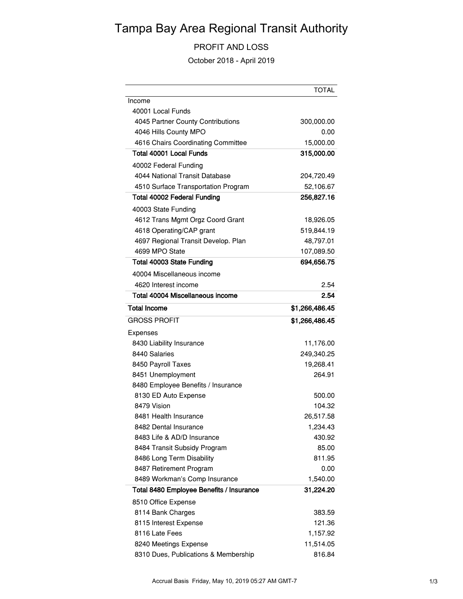# Tampa Bay Area Regional Transit Authority

## PROFIT AND LOSS

October 2018 - April 2019

|                                          | <b>TOTAL</b>   |
|------------------------------------------|----------------|
| Income                                   |                |
| 40001 Local Funds                        |                |
| 4045 Partner County Contributions        | 300,000.00     |
| 4046 Hills County MPO                    | 0.00           |
| 4616 Chairs Coordinating Committee       | 15,000.00      |
| Total 40001 Local Funds                  | 315,000.00     |
| 40002 Federal Funding                    |                |
| 4044 National Transit Database           | 204,720.49     |
| 4510 Surface Transportation Program      | 52,106.67      |
| <b>Total 40002 Federal Funding</b>       | 256,827.16     |
| 40003 State Funding                      |                |
| 4612 Trans Mgmt Orgz Coord Grant         | 18,926.05      |
| 4618 Operating/CAP grant                 | 519,844.19     |
| 4697 Regional Transit Develop. Plan      | 48,797.01      |
| 4699 MPO State                           | 107,089.50     |
| Total 40003 State Funding                | 694,656.75     |
| 40004 Miscellaneous income               |                |
| 4620 Interest income                     | 2.54           |
| Total 40004 Miscellaneous income         | 2.54           |
| <b>Total Income</b>                      | \$1,266,486.45 |
| <b>GROSS PROFIT</b>                      | \$1,266,486.45 |
| Expenses                                 |                |
| 8430 Liability Insurance                 | 11,176.00      |
| 8440 Salaries                            | 249,340.25     |
| 8450 Payroll Taxes                       | 19,268.41      |
| 8451 Unemployment                        | 264.91         |
| 8480 Employee Benefits / Insurance       |                |
| 8130 ED Auto Expense                     | 500.00         |
| 8479 Vision                              | 104.32         |
| 8481 Health Insurance                    | 26,517.58      |
| 8482 Dental Insurance                    | 1,234.43       |
| 8483 Life & AD/D Insurance               | 430.92         |
| 8484 Transit Subsidy Program             | 85.00          |
| 8486 Long Term Disability                | 811.95         |
| 8487 Retirement Program                  | 0.00           |
| 8489 Workman's Comp Insurance            | 1,540.00       |
| Total 8480 Employee Benefits / Insurance | 31,224.20      |
| 8510 Office Expense                      |                |
| 8114 Bank Charges                        | 383.59         |
| 8115 Interest Expense                    | 121.36         |
| 8116 Late Fees                           | 1,157.92       |
| 8240 Meetings Expense                    | 11,514.05      |
| 8310 Dues, Publications & Membership     | 816.84         |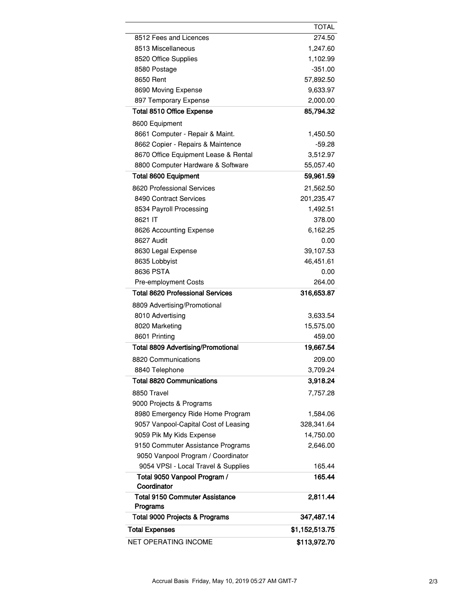|                                           | <b>TOTAL</b>   |
|-------------------------------------------|----------------|
| 8512 Fees and Licences                    | 274.50         |
| 8513 Miscellaneous                        | 1,247.60       |
| 8520 Office Supplies                      | 1,102.99       |
| 8580 Postage                              | $-351.00$      |
| 8650 Rent                                 | 57,892.50      |
| 8690 Moving Expense                       | 9,633.97       |
| 897 Temporary Expense                     | 2,000.00       |
| <b>Total 8510 Office Expense</b>          | 85,794.32      |
| 8600 Equipment                            |                |
| 8661 Computer - Repair & Maint.           | 1,450.50       |
| 8662 Copier - Repairs & Maintence         | $-59.28$       |
| 8670 Office Equipment Lease & Rental      | 3,512.97       |
| 8800 Computer Hardware & Software         | 55,057.40      |
| <b>Total 8600 Equipment</b>               | 59,961.59      |
| 8620 Professional Services                | 21,562.50      |
| 8490 Contract Services                    | 201,235.47     |
| 8534 Payroll Processing                   | 1,492.51       |
| 8621 IT                                   | 378.00         |
| 8626 Accounting Expense                   | 6,162.25       |
| 8627 Audit                                | 0.00           |
| 8630 Legal Expense                        | 39,107.53      |
| 8635 Lobbyist                             | 46,451.61      |
| 8636 PSTA                                 | 0.00           |
| <b>Pre-employment Costs</b>               | 264.00         |
| <b>Total 8620 Professional Services</b>   | 316,653.87     |
| 8809 Advertising/Promotional              |                |
| 8010 Advertising                          | 3,633.54       |
| 8020 Marketing                            | 15,575.00      |
| 8601 Printing                             | 459.00         |
| <b>Total 8809 Advertising/Promotional</b> | 19,667.54      |
| 8820 Communications                       | 209.00         |
| 8840 Telephone                            | 3,709.24       |
| <b>Total 8820 Communications</b>          | 3,918.24       |
| 8850 Travel                               | 7,757.28       |
| 9000 Projects & Programs                  |                |
| 8980 Emergency Ride Home Program          | 1,584.06       |
| 9057 Vanpool-Capital Cost of Leasing      | 328,341.64     |
| 9059 Pik My Kids Expense                  | 14,750.00      |
| 9150 Commuter Assistance Programs         | 2,646.00       |
| 9050 Vanpool Program / Coordinator        |                |
| 9054 VPSI - Local Travel & Supplies       | 165.44         |
| Total 9050 Vanpool Program /              | 165.44         |
| Coordinator                               |                |
| <b>Total 9150 Commuter Assistance</b>     | 2,811.44       |
| Programs                                  |                |
| Total 9000 Projects & Programs            | 347,487.14     |
| <b>Total Expenses</b>                     | \$1,152,513.75 |
| NET OPERATING INCOME                      | \$113,972.70   |